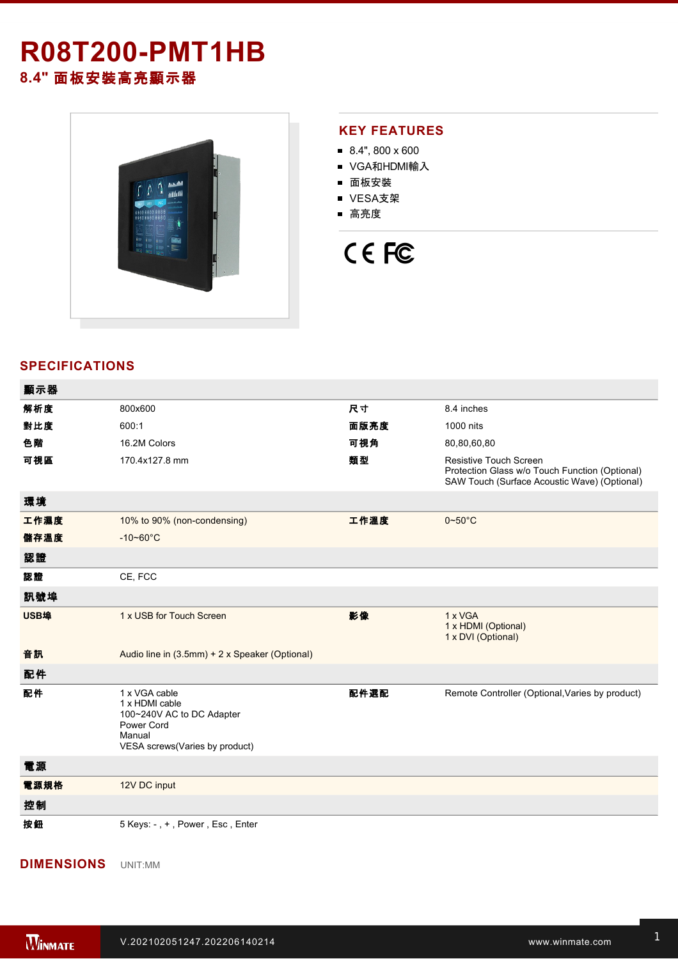# **R08T200-PMT1HB**

**8.4"** 面板安裝高亮顯示器



#### **KEY FEATURES**

- $8.4$ ", 800 x 600
- VGA和HDMI輸入
- 面板安裝
- VESA支架
- 高亮度

## CE FC

### **SPECIFICATIONS**

| 顯示器  |                                                                                      |      |                                                                                                                                 |
|------|--------------------------------------------------------------------------------------|------|---------------------------------------------------------------------------------------------------------------------------------|
| 解析度  | 800x600                                                                              | 尺寸   | 8.4 inches                                                                                                                      |
| 對比度  | 600:1                                                                                | 面版亮度 | 1000 nits                                                                                                                       |
| 色階   | 16.2M Colors                                                                         | 可視角  | 80,80,60,80                                                                                                                     |
| 可視區  | 170.4x127.8 mm                                                                       | 類型   | <b>Resistive Touch Screen</b><br>Protection Glass w/o Touch Function (Optional)<br>SAW Touch (Surface Acoustic Wave) (Optional) |
| 環境   |                                                                                      |      |                                                                                                                                 |
| 工作濕度 | 10% to 90% (non-condensing)                                                          | 工作溫度 | $0 - 50$ °C                                                                                                                     |
| 儲存溫度 | $-10 - 60^{\circ}C$                                                                  |      |                                                                                                                                 |
| 認證   |                                                                                      |      |                                                                                                                                 |
| 認證   | CE, FCC                                                                              |      |                                                                                                                                 |
| 訊號埠  |                                                                                      |      |                                                                                                                                 |
| USB埠 | 1 x USB for Touch Screen                                                             | 影像   | 1 x VGA<br>1 x HDMI (Optional)<br>1 x DVI (Optional)                                                                            |
| 音訊   | Audio line in (3.5mm) + 2 x Speaker (Optional)                                       |      |                                                                                                                                 |
| 配件   |                                                                                      |      |                                                                                                                                 |
| 配件   | 1 x VGA cable<br>1 x HDMI cable<br>100~240V AC to DC Adapter<br>Power Cord<br>Manual | 配件選配 | Remote Controller (Optional, Varies by product)                                                                                 |
|      | VESA screws(Varies by product)                                                       |      |                                                                                                                                 |
| 電源   |                                                                                      |      |                                                                                                                                 |
| 電源規格 | 12V DC input                                                                         |      |                                                                                                                                 |
| 控制   |                                                                                      |      |                                                                                                                                 |

#### **DIMENSIONS**  UNIT:MM